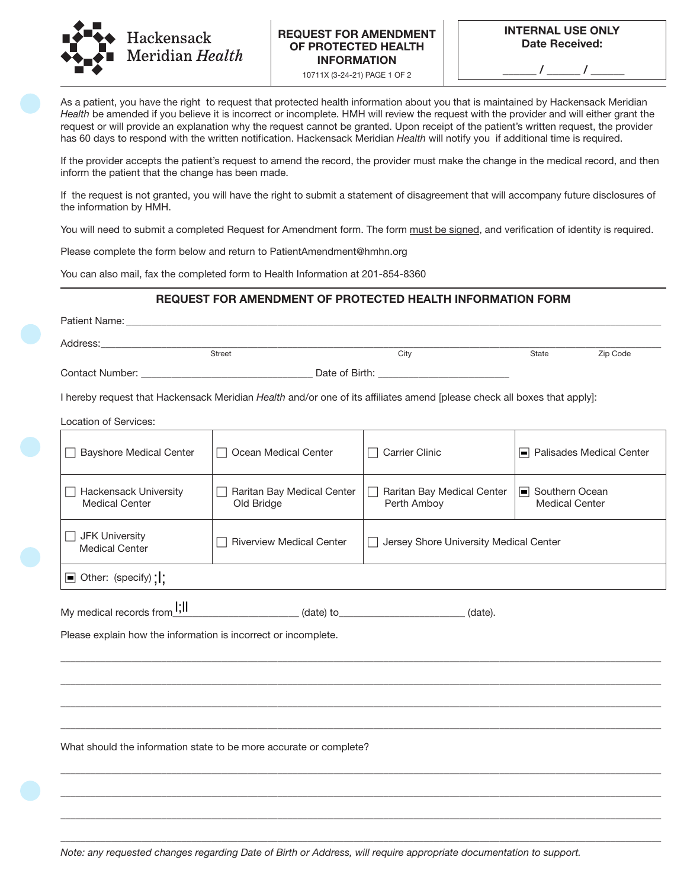

## REQUEST FOR AMENDMENT OF PROTECTED HEALTH INFORMATION

10711X (3-24-21) PAGE 1 OF 2

 $\frac{\frac{1}{2}I_{\frac{1}{2}}}{\frac{1}{2}I_{\frac{1}{2}}}{\frac{1}{2}I_{\frac{1}{2}}}{\frac{1}{2}I_{\frac{1}{2}}}{\frac{1}{2}I_{\frac{1}{2}}}}$ 

As a patient, you have the right to request that protected health information about you that is maintained by Hackensack Meridian *Health* be amended if you believe it is incorrect or incomplete. HMH will review the request with the provider and will either grant the request or will provide an explanation why the request cannot be granted. Upon receipt of the patient's written request, the provider has 60 days to respond with the written notification. Hackensack Meridian *Health* will notify you if additional time is required.

If the provider accepts the patient's request to amend the record, the provider must make the change in the medical record, and then inform the patient that the change has been made.

If the request is not granted, you will have the right to submit a statement of disagreement that will accompany future disclosures of the information by HMH.

You will need to submit a completed Request for Amendment form. The form must be signed, and verification of identity is required.

Please complete the form below and return to PatientAmendment@hmhn.org

You can also mail, fax the completed form to Health Information at 201-854-8360

## REQUEST FOR AMENDMENT OF PROTECTED HEALTH INFORMATION FORM

|                                                                | Address: the contract of the contract of the contract of the contract of the contract of the contract of the contract of the contract of the contract of the contract of the contract of the contract of the contract of the c |                                           |                                           |          |
|----------------------------------------------------------------|--------------------------------------------------------------------------------------------------------------------------------------------------------------------------------------------------------------------------------|-------------------------------------------|-------------------------------------------|----------|
|                                                                | Street                                                                                                                                                                                                                         | City                                      | State                                     | Zip Code |
|                                                                |                                                                                                                                                                                                                                |                                           |                                           |          |
|                                                                | I hereby request that Hackensack Meridian Health and/or one of its affiliates amend [please check all boxes that apply]:                                                                                                       |                                           |                                           |          |
| Location of Services:                                          |                                                                                                                                                                                                                                |                                           |                                           |          |
| <b>Bayshore Medical Center</b>                                 | Ocean Medical Center                                                                                                                                                                                                           | $\Box$ Carrier Clinic                     | □ Palisades Medical Center                |          |
| $\Box$ Hackensack University<br><b>Medical Center</b>          | Raritan Bay Medical Center<br>$\Box$<br>Old Bridge                                                                                                                                                                             | Raritan Bay Medical Center<br>Perth Amboy | □ Southern Ocean<br><b>Medical Center</b> |          |
| JFK University<br><b>Medical Center</b>                        | <b>Riverview Medical Center</b>                                                                                                                                                                                                | □ Jersey Shore University Medical Center  |                                           |          |
| □ Other: (specify)                                             |                                                                                                                                                                                                                                |                                           |                                           |          |
| My medical records from <b>I;II</b>                            |                                                                                                                                                                                                                                |                                           |                                           |          |
| Please explain how the information is incorrect or incomplete. |                                                                                                                                                                                                                                |                                           |                                           |          |
|                                                                |                                                                                                                                                                                                                                |                                           |                                           |          |
|                                                                |                                                                                                                                                                                                                                |                                           |                                           |          |
|                                                                |                                                                                                                                                                                                                                |                                           |                                           |          |
|                                                                |                                                                                                                                                                                                                                |                                           |                                           |          |
|                                                                | What should the information state to be more accurate or complete?                                                                                                                                                             |                                           |                                           |          |
|                                                                |                                                                                                                                                                                                                                |                                           |                                           |          |
|                                                                |                                                                                                                                                                                                                                |                                           |                                           |          |

*Note: any requested changes regarding Date of Birth or Address, will require appropriate documentation to support.* 

\_\_\_\_\_\_\_\_\_\_\_\_\_\_\_\_\_\_\_\_\_\_\_\_\_\_\_\_\_\_\_\_\_\_\_\_\_\_\_\_\_\_\_\_\_\_\_\_\_\_\_\_\_\_\_\_\_\_\_\_\_\_\_\_\_\_\_\_\_\_\_\_\_\_\_\_\_\_\_\_\_\_\_\_\_\_\_\_\_\_\_\_\_\_\_\_\_\_\_\_\_\_\_\_\_\_\_\_\_\_\_\_\_\_\_\_\_\_\_ \_\_\_\_\_\_\_\_\_\_\_\_\_\_\_\_\_\_\_\_\_\_\_\_\_\_\_\_\_\_\_\_\_\_\_\_\_\_\_\_\_\_\_\_\_\_\_\_\_\_\_\_\_\_\_\_\_\_\_\_\_\_\_\_\_\_\_\_\_\_\_\_\_\_\_\_\_\_\_\_\_\_\_\_\_\_\_\_\_\_\_\_\_\_\_\_\_\_\_\_\_\_\_\_\_\_\_\_\_\_\_\_\_\_\_\_\_\_\_